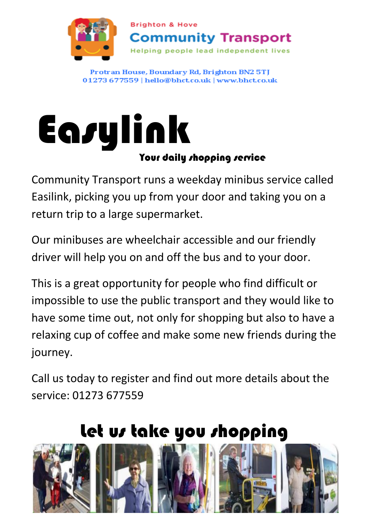

Protran House, Boundary Rd, Brighton BN2 5TJ 01273 677559 | hello@bhct.co.uk | www.bhct.co.uk

# **Easylink** Your daily shopping service

Community Transport runs a weekday minibus service called Easilink, picking you up from your door and taking you on a return trip to a large supermarket.

Our minibuses are wheelchair accessible and our friendly driver will help you on and off the bus and to your door.

This is a great opportunity for people who find difficult or impossible to use the public transport and they would like to have some time out, not only for shopping but also to have a relaxing cup of coffee and make some new friends during the journey.

Call us today to register and find out more details about the service: 01273 677559

# Let us take you shopping

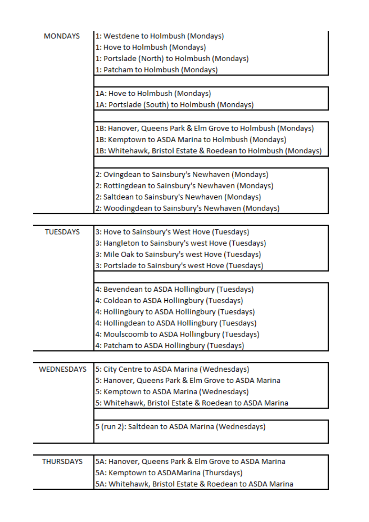| <b>MONDAYS</b>    | 1: Westdene to Holmbush (Mondays)                             |
|-------------------|---------------------------------------------------------------|
|                   | 1: Hove to Holmbush (Mondays)                                 |
|                   | 1: Portslade (North) to Holmbush (Mondays)                    |
|                   | 1: Patcham to Holmbush (Mondays)                              |
|                   |                                                               |
|                   | 1A: Hove to Holmbush (Mondays)                                |
|                   | 1A: Portslade (South) to Holmbush (Mondays)                   |
|                   |                                                               |
|                   | 1B: Hanover, Queens Park & Elm Grove to Holmbush (Mondays)    |
|                   | 1B: Kemptown to ASDA Marina to Holmbush (Mondays)             |
|                   | 1B: Whitehawk, Bristol Estate & Roedean to Holmbush (Mondays) |
|                   |                                                               |
|                   | 2: Ovingdean to Sainsbury's Newhaven (Mondays)                |
|                   | 2: Rottingdean to Sainsbury's Newhaven (Mondays)              |
|                   | 2: Saltdean to Sainsbury's Newhaven (Mondays)                 |
|                   | 2: Woodingdean to Sainsbury's Newhaven (Mondays)              |
| <b>TUESDAYS</b>   | 3: Hove to Sainsbury's West Hove (Tuesdays)                   |
|                   | 3: Hangleton to Sainsbury's west Hove (Tuesdays)              |
|                   | 3: Mile Oak to Sainsbury's west Hove (Tuesdays)               |
|                   |                                                               |
|                   | 3: Portslade to Sainsbury's west Hove (Tuesdays)              |
|                   | 4: Bevendean to ASDA Hollingbury (Tuesdays)                   |
|                   | 4: Coldean to ASDA Hollingbury (Tuesdays)                     |
|                   | 4: Hollingbury to ASDA Hollingbury (Tuesdays)                 |
|                   | 4: Hollingdean to ASDA Hollingbury (Tuesdays)                 |
|                   | 4: Moulscoomb to ASDA Hollingbury (Tuesdays)                  |
|                   | 4: Patcham to ASDA Hollingbury (Tuesdays)                     |
|                   |                                                               |
| <b>WEDNESDAYS</b> | 5: City Centre to ASDA Marina (Wednesdays)                    |
|                   | 5: Hanover, Queens Park & Elm Grove to ASDA Marina            |
|                   | 5: Kemptown to ASDA Marina (Wednesdays)                       |
|                   | 5: Whitehawk, Bristol Estate & Roedean to ASDA Marina         |
|                   |                                                               |
|                   | 5 (run 2): Saltdean to ASDA Marina (Wednesdays)               |
|                   |                                                               |
| <b>THURSDAYS</b>  | 5A: Hanover, Queens Park & Elm Grove to ASDA Marina           |
|                   | 5A: Kemptown to ASDAMarina (Thursdays)                        |
|                   | 5A: Whitehawk, Bristol Estate & Roedean to ASDA Marina        |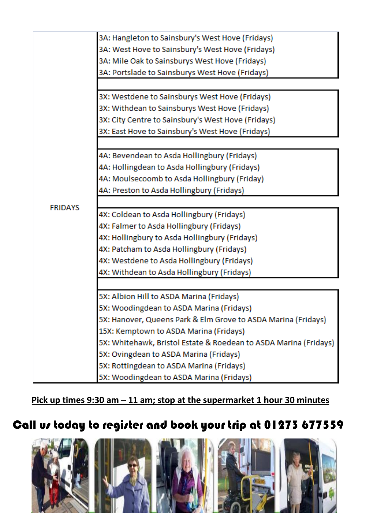

**Pick up times 9:30 am – 11 am; stop at the supermarket 1 hour 30 minutes**

## Call us today to register and book your trip at 01273 677559